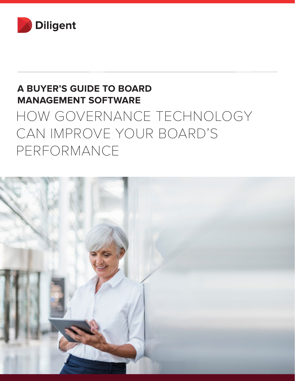

# **A BUYER'S GUIDE TO BOARD MANAGEMENT SOFTWARE**

# HOW GOVERNANCE TECHNOLOGY CAN IMPROVE YOUR BOARD'S PERFORMANCE

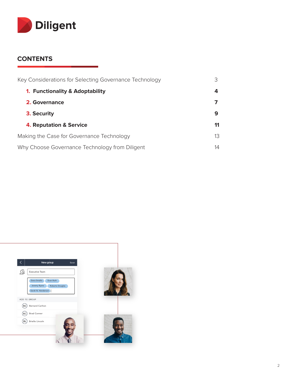

#### **CONTENTS**

| Key Considerations for Selecting Governance Technology |    |
|--------------------------------------------------------|----|
| <b>1. Functionality &amp; Adoptability</b>             | 4  |
| 2. Governance                                          |    |
| 3. Security                                            | 9  |
| <b>4. Reputation &amp; Service</b>                     | 11 |
| Making the Case for Governance Technology              | 13 |
| Why Choose Governance Technology from Diligent         | 14 |

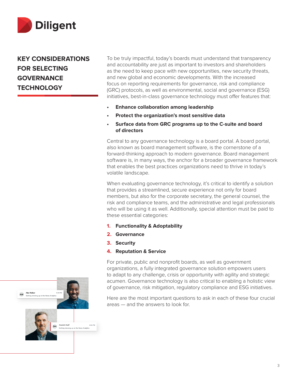

**KEY CONSIDERATIONS FOR SELECTING GOVERNANCE TECHNOLOGY** 

To be truly impactful, today's boards must understand that transparency and accountability are just as important to investors and shareholders as the need to keep pace with new opportunities, new security threats, and new global and economic developments. With the increased focus on reporting requirements for governance, risk and compliance (GRC) protocols, as well as environmental, social and governance (ESG) initiatives, best-in-class governance technology must offer features that:

- **• Enhance collaboration among leadership**
- **• Protect the organization's most sensitive data**
- **• Surface data from GRC programs up to the C-suite and board of directors**

Central to any governance technology is a board portal. A board portal, also known as board management software, is the cornerstone of a forward-thinking approach to modern governance. Board management software is, in many ways, the anchor for a broader governance framework that enables the best practices organizations need to thrive in today's volatile landscape.

When evaluating governance technology, it's critical to identify a solution that provides a streamlined, secure experience not only for board members, but also for the corporate secretary, the general counsel, the risk and compliance teams, and the administrative and legal professionals who will be using it as well. Additionally, special attention must be paid to these essential categories:

- **1. Functionality & Adoptability**
- **2. Governance**
- **3. Security**
- **4. Reputation & Service**

For private, public and nonprofit boards, as well as government organizations, a fully integrated governance solution empowers users to adapt to any challenge, crisis or opportunity with agility and strategic acumen. Governance technology is also critical to enabling a holistic view of governance, risk mitigation, regulatory compliance and ESG initiatives.

Here are the most important questions to ask in each of these four crucial areas — and the answers to look for.

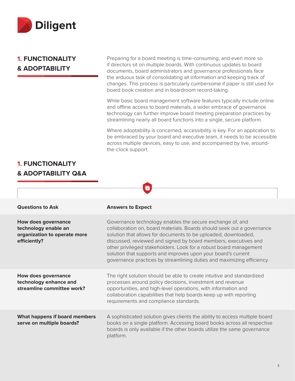

#### **1. FUNCTIONALITY & ADOPTABILITY**

Preparing for a board meeting is time-consuming, and even more so if directors sit on multiple boards. With continuous updates to board documents, board administrators and governance professionals face the arduous task of consolidating all information and keeping track of changes. This process is particularly cumbersome if paper is still used for board book creation and in boardroom record-taking.

While basic board management software features typically include online and offline access to board materials, a wider embrace of governance technology can further improve board meeting preparation practices by streamlining nearly all board functions into a single, secure platform.

Where adoptability is concerned, accessibility is key. For an application to be embraced by your board and executive team, it needs to be accessible across multiple devices, easy to use, and accompanied by live, aroundthe-clock support.

#### **1. FUNCTIONALITY & ADOPTABILITY Q&A**

| <b>Questions to Ask</b>                                                                            | <b>Answers to Expect</b>                                                                                                                                                                                                                                                                                                                                                                                                                                                                 |
|----------------------------------------------------------------------------------------------------|------------------------------------------------------------------------------------------------------------------------------------------------------------------------------------------------------------------------------------------------------------------------------------------------------------------------------------------------------------------------------------------------------------------------------------------------------------------------------------------|
| <b>How does governance</b><br>technology enable an<br>organization to operate more<br>efficiently? | Governance technology enables the secure exchange of, and<br>collaboration on, board materials. Boards should seek out a governance<br>solution that allows for documents to be uploaded, downloaded,<br>discussed, reviewed and signed by board members, executives and<br>other privileged stakeholders. Look for a robust board management<br>solution that supports and improves upon your board's current<br>governance practices by streamlining duties and maximizing efficiency. |
| <b>How does governance</b><br>technology enhance and<br>streamline committee work?                 | The right solution should be able to create intuitive and standardized<br>processes around policy decisions, investment and revenue<br>opportunities, and high-level operations, with information and<br>collaboration capabilities that help boards keep up with reporting<br>requirements and compliance standards.                                                                                                                                                                    |
| What happens if board members<br>serve on multiple boards?                                         | A sophisticated solution gives clients the ability to access multiple board<br>books on a single platform. Accessing board books across all respective<br>boards is only available if the other boards utilize the same governance<br>platform.                                                                                                                                                                                                                                          |

Q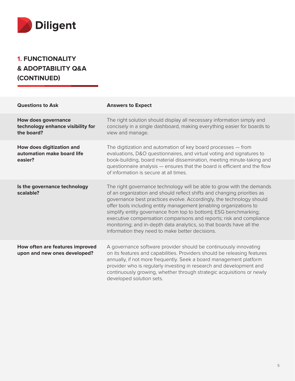

### **1. FUNCTIONALITY & ADOPTABILITY Q&A (CONTINUED)**

| <b>Questions to Ask</b>                                                       | <b>Answers to Expect</b>                                                                                                                                                                                                                                                                                                                                                                                                                                                                                                                                              |
|-------------------------------------------------------------------------------|-----------------------------------------------------------------------------------------------------------------------------------------------------------------------------------------------------------------------------------------------------------------------------------------------------------------------------------------------------------------------------------------------------------------------------------------------------------------------------------------------------------------------------------------------------------------------|
| <b>How does governance</b><br>technology enhance visibility for<br>the board? | The right solution should display all necessary information simply and<br>concisely in a single dashboard, making everything easier for boards to<br>view and manage.                                                                                                                                                                                                                                                                                                                                                                                                 |
| How does digitization and<br>automation make board life<br>easier?            | The digitization and automation of key board processes - from<br>evaluations, D&O questionnaires, and virtual voting and signatures to<br>book-building, board material dissemination, meeting minute-taking and<br>questionnaire analysis - ensures that the board is efficient and the flow<br>of information is secure at all times.                                                                                                                                                                                                                               |
| Is the governance technology<br>scalable?                                     | The right governance technology will be able to grow with the demands<br>of an organization and should reflect shifts and changing priorities as<br>governance best practices evolve. Accordingly, the technology should<br>offer tools including entity management (enabling organizations to<br>simplify entity governance from top to bottom); ESG benchmarking;<br>executive compensation comparisons and reports; risk and compliance<br>monitoring; and in-depth data analytics, so that boards have all the<br>information they need to make better decisions. |
| How often are features improved<br>upon and new ones developed?               | A governance software provider should be continuously innovating<br>on its features and capabilities. Providers should be releasing features<br>annually, if not more frequently. Seek a board management platform<br>provider who is regularly investing in research and development and<br>continuously growing, whether through strategic acquisitions or newly<br>developed solution sets.                                                                                                                                                                        |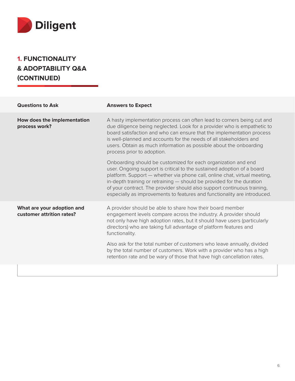

### **1. FUNCTIONALITY & ADOPTABILITY Q&A (CONTINUED)**

| <b>Questions to Ask</b>                                 | <b>Answers to Expect</b>                                                                                                                                                                                                                                                                                                                                                                                                                             |
|---------------------------------------------------------|------------------------------------------------------------------------------------------------------------------------------------------------------------------------------------------------------------------------------------------------------------------------------------------------------------------------------------------------------------------------------------------------------------------------------------------------------|
| How does the implementation<br>process work?            | A hasty implementation process can often lead to corners being cut and<br>due diligence being neglected. Look for a provider who is empathetic to<br>board satisfaction and who can ensure that the implementation process<br>is well-planned and accounts for the needs of all stakeholders and<br>users. Obtain as much information as possible about the onboarding<br>process prior to adoption.                                                 |
|                                                         | Onboarding should be customized for each organization and end<br>user. Ongoing support is critical to the sustained adoption of a board<br>platform. Support - whether via phone call, online chat, virtual meeting,<br>in-depth training or retraining - should be provided for the duration<br>of your contract. The provider should also support continuous training,<br>especially as improvements to features and functionality are introduced. |
| What are your adoption and<br>customer attrition rates? | A provider should be able to share how their board member<br>engagement levels compare across the industry. A provider should<br>not only have high adoption rates, but it should have users (particularly<br>directors) who are taking full advantage of platform features and<br>functionality.                                                                                                                                                    |
|                                                         | Also ask for the total number of customers who leave annually, divided<br>by the total number of customers. Work with a provider who has a high<br>retention rate and be wary of those that have high cancellation rates.                                                                                                                                                                                                                            |
|                                                         |                                                                                                                                                                                                                                                                                                                                                                                                                                                      |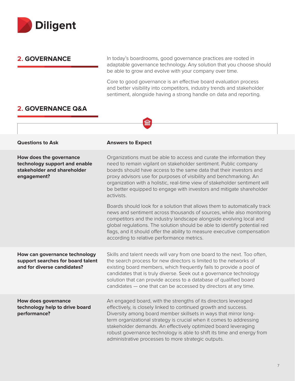

#### **2. GOVERNANCE**

In today's boardrooms, good governance practices are rooted in adaptable governance technology. Any solution that you choose should be able to grow and evolve with your company over time.

Core to good governance is an effective board evaluation process and better visibility into competitors, industry trends and stakeholder sentiment, alongside having a strong handle on data and reporting.

#### **2. GOVERNANCE Q&A**

|                                                                                                        | 血                                                                                                                                                                                                                                                                                                                                                                                                                                                                                |
|--------------------------------------------------------------------------------------------------------|----------------------------------------------------------------------------------------------------------------------------------------------------------------------------------------------------------------------------------------------------------------------------------------------------------------------------------------------------------------------------------------------------------------------------------------------------------------------------------|
|                                                                                                        |                                                                                                                                                                                                                                                                                                                                                                                                                                                                                  |
| <b>Questions to Ask</b>                                                                                | <b>Answers to Expect</b>                                                                                                                                                                                                                                                                                                                                                                                                                                                         |
| How does the governance<br>technology support and enable<br>stakeholder and shareholder<br>engagement? | Organizations must be able to access and curate the information they<br>need to remain vigilant on stakeholder sentiment. Public company<br>boards should have access to the same data that their investors and<br>proxy advisors use for purposes of visibility and benchmarking. An<br>organization with a holistic, real-time view of stakeholder sentiment will<br>be better equipped to engage with investors and mitigate shareholder<br>activists.                        |
|                                                                                                        | Boards should look for a solution that allows them to automatically track<br>news and sentiment across thousands of sources, while also monitoring<br>competitors and the industry landscape alongside evolving local and<br>global regulations. The solution should be able to identify potential red<br>flags, and it should offer the ability to measure executive compensation<br>according to relative performance metrics.                                                 |
| How can governance technology<br>support searches for board talent<br>and for diverse candidates?      | Skills and talent needs will vary from one board to the next. Too often,<br>the search process for new directors is limited to the networks of<br>existing board members, which frequently fails to provide a pool of<br>candidates that is truly diverse. Seek out a governance technology<br>solution that can provide access to a database of qualified board<br>candidates - one that can be accessed by directors at any time.                                              |
| <b>How does governance</b><br>technology help to drive board<br>performance?                           | An engaged board, with the strengths of its directors leveraged<br>effectively, is closely linked to continued growth and success.<br>Diversity among board member skillsets in ways that mirror long-<br>term organizational strategy is crucial when it comes to addressing<br>stakeholder demands. An effectively optimized board leveraging<br>robust governance technology is able to shift its time and energy from<br>administrative processes to more strategic outputs. |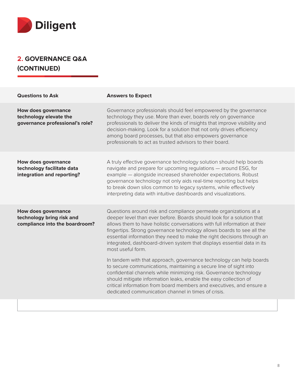

#### **2. GOVERNANCE Q&A (CONTINUED)**

| <b>Questions to Ask</b>                                                                   | <b>Answers to Expect</b>                                                                                                                                                                                                                                                                                                                                                                                                                                                  |
|-------------------------------------------------------------------------------------------|---------------------------------------------------------------------------------------------------------------------------------------------------------------------------------------------------------------------------------------------------------------------------------------------------------------------------------------------------------------------------------------------------------------------------------------------------------------------------|
| <b>How does governance</b><br>technology elevate the<br>governance professional's role?   | Governance professionals should feel empowered by the governance<br>technology they use. More than ever, boards rely on governance<br>professionals to deliver the kinds of insights that improve visibility and<br>decision-making. Look for a solution that not only drives efficiency<br>among board processes, but that also empowers governance<br>professionals to act as trusted advisors to their board.                                                          |
| <b>How does governance</b><br>technology facilitate data<br>integration and reporting?    | A truly effective governance technology solution should help boards<br>navigate and prepare for upcoming regulations - around ESG, for<br>example - alongside increased shareholder expectations. Robust<br>governance technology not only aids real-time reporting but helps<br>to break down silos common to legacy systems, while effectively<br>interpreting data with intuitive dashboards and visualizations.                                                       |
| <b>How does governance</b><br>technology bring risk and<br>compliance into the boardroom? | Questions around risk and compliance permeate organizations at a<br>deeper level than ever before. Boards should look for a solution that<br>allows them to have holistic conversations with full information at their<br>fingertips. Strong governance technology allows boards to see all the<br>essential information they need to make the right decisions through an<br>integrated, dashboard-driven system that displays essential data in its<br>most useful form. |
|                                                                                           | In tandem with that approach, governance technology can help boards<br>to secure communications, maintaining a secure line of sight into<br>confidential channels while minimizing risk. Governance technology<br>should mitigate information leaks, enable the easy collection of<br>critical information from board members and executives, and ensure a<br>dedicated communication channel in times of crisis.                                                         |
|                                                                                           |                                                                                                                                                                                                                                                                                                                                                                                                                                                                           |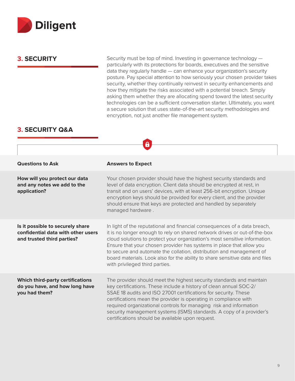

**3. SECURITY** Security must be top of mind. Investing in governance technology – particularly with its protections for boards, executives and the sensitive data they regularly handle — can enhance your organization's security posture. Pay special attention to how seriously your chosen provider takes security, whether they continually reinvest in security enhancements and how they mitigate the risks associated with a potential breach. Simply asking them whether they are allocating spend toward the latest security technologies can be a sufficient conversation starter. Ultimately, you want a secure solution that uses state-of-the-art security methodologies and encryption, not just another file management system.

#### **3. SECURITY Q&A**

|                                                                                                      | 6                                                                                                                                                                                                                                                                                                                                                                                                                                                                                                      |
|------------------------------------------------------------------------------------------------------|--------------------------------------------------------------------------------------------------------------------------------------------------------------------------------------------------------------------------------------------------------------------------------------------------------------------------------------------------------------------------------------------------------------------------------------------------------------------------------------------------------|
|                                                                                                      |                                                                                                                                                                                                                                                                                                                                                                                                                                                                                                        |
| <b>Questions to Ask</b>                                                                              | <b>Answers to Expect</b>                                                                                                                                                                                                                                                                                                                                                                                                                                                                               |
| How will you protect our data<br>and any notes we add to the<br>application?                         | Your chosen provider should have the highest security standards and<br>level of data encryption. Client data should be encrypted at rest, in<br>transit and on users' devices, with at least 256-bit encryption. Unique<br>encryption keys should be provided for every client, and the provider<br>should ensure that keys are protected and handled by separately<br>managed hardware.                                                                                                               |
| Is it possible to securely share<br>confidential data with other users<br>and trusted third parties? | In light of the reputational and financial consequences of a data breach,<br>it is no longer enough to rely on shared network drives or out-of-the-box<br>cloud solutions to protect your organization's most sensitive information.<br>Ensure that your chosen provider has systems in place that allow you<br>to secure and automate the collation, distribution and management of<br>board materials. Look also for the ability to share sensitive data and files<br>with privileged third parties. |
| <b>Which third-party certifications</b><br>do you have, and how long have<br>you had them?           | The provider should meet the highest security standards and maintain<br>key certifications. These include a history of clean annual SOC-2/<br>SSAE 18 audits and ISO 27001 certifications for security. These<br>certifications mean the provider is operating in compliance with<br>required organizational controls for managing risk and information<br>security management systems (ISMS) standards. A copy of a provider's<br>certifications should be available upon request.                    |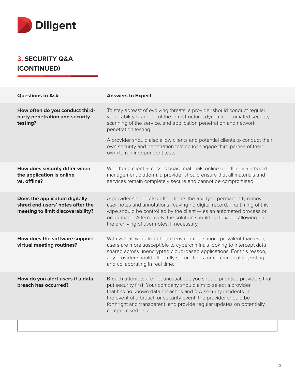

#### **3. SECURITY Q&A (CONTINUED)**

| <b>Questions to Ask</b>                                                                                 | <b>Answers to Expect</b>                                                                                                                                                                                                                                                                                                                                                                                                                  |
|---------------------------------------------------------------------------------------------------------|-------------------------------------------------------------------------------------------------------------------------------------------------------------------------------------------------------------------------------------------------------------------------------------------------------------------------------------------------------------------------------------------------------------------------------------------|
| How often do you conduct third-<br>party penetration and security<br>testing?                           | To stay abreast of evolving threats, a provider should conduct regular<br>vulnerability scanning of the infrastructure, dynamic automated security<br>scanning of the service, and application penetration and network<br>penetration testing.<br>A provider should also allow clients and potential clients to conduct their<br>own security and penetration testing (or engage third parties of their<br>own) to run independent tests. |
| How does security differ when<br>the application is online<br>vs. offline?                              | Whether a client accesses board materials online or offline via a board<br>management platform, a provider should ensure that all materials and<br>services remain completely secure and cannot be compromised.                                                                                                                                                                                                                           |
| Does the application digitally<br>shred end users' notes after the<br>meeting to limit discoverability? | A provider should also offer clients the ability to permanently remove<br>user notes and annotations, leaving no digital record. The timing of this<br>wipe should be controlled by the client - as an automated process or<br>on-demand. Alternatively, the solution should be flexible, allowing for<br>the archiving of user notes, if necessary.                                                                                      |
| How does the software support<br>virtual meeting routines?                                              | With virtual, work-from-home environments more prevalent than ever,<br>users are more susceptible to cybercriminals looking to intercept data<br>shared across unencrypted cloud-based applications. For this reason,<br>any provider should offer fully secure tools for communicating, voting<br>and collaborating in real time.                                                                                                        |
| How do you alert users if a data<br>breach has occurred?                                                | Breach attempts are not unusual, but you should prioritize providers that<br>put security first. Your company should aim to select a provider<br>that has no known data breaches and few security incidents. In<br>the event of a breach or security event, the provider should be<br>forthright and transparent, and provide regular updates on potentially<br>compromised data.                                                         |
|                                                                                                         |                                                                                                                                                                                                                                                                                                                                                                                                                                           |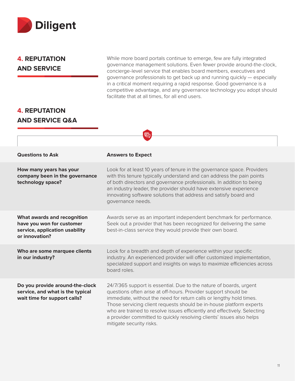

#### **4. REPUTATION AND SERVICE**

While more board portals continue to emerge, few are fully integrated governance management solutions. Even fewer provide around-the-clock, concierge-level service that enables board members, executives and governance professionals to get back up and running quickly — especially in a critical moment requiring a rapid response. Good governance is a competitive advantage, and any governance technology you adopt should facilitate that at all times, for all end users.

#### **4. REPUTATION AND SERVICE Q&A**

|                                                                                                              | 曰                                                                                                                                                                                                                                                                                                                                                                                                                                                                  |
|--------------------------------------------------------------------------------------------------------------|--------------------------------------------------------------------------------------------------------------------------------------------------------------------------------------------------------------------------------------------------------------------------------------------------------------------------------------------------------------------------------------------------------------------------------------------------------------------|
|                                                                                                              |                                                                                                                                                                                                                                                                                                                                                                                                                                                                    |
| <b>Questions to Ask</b>                                                                                      | <b>Answers to Expect</b>                                                                                                                                                                                                                                                                                                                                                                                                                                           |
| How many years has your<br>company been in the governance<br>technology space?                               | Look for at least 10 years of tenure in the governance space. Providers<br>with this tenure typically understand and can address the pain points<br>of both directors and governance professionals. In addition to being<br>an industry leader, the provider should have extensive experience<br>innovating software solutions that address and satisfy board and<br>governance needs.                                                                             |
| What awards and recognition<br>have you won for customer<br>service, application usability<br>or innovation? | Awards serve as an important independent benchmark for performance.<br>Seek out a provider that has been recognized for delivering the same<br>best-in-class service they would provide their own board.                                                                                                                                                                                                                                                           |
| Who are some marquee clients<br>in our industry?                                                             | Look for a breadth and depth of experience within your specific<br>industry. An experienced provider will offer customized implementation,<br>specialized support and insights on ways to maximize efficiencies across<br>board roles.                                                                                                                                                                                                                             |
| Do you provide around-the-clock<br>service, and what is the typical<br>wait time for support calls?          | 24/7/365 support is essential. Due to the nature of boards, urgent<br>questions often arise at off-hours. Provider support should be<br>immediate, without the need for return calls or lengthy hold times.<br>Those servicing client requests should be in-house platform experts<br>who are trained to resolve issues efficiently and effectively. Selecting<br>a provider committed to quickly resolving clients' issues also helps<br>mitigate security risks. |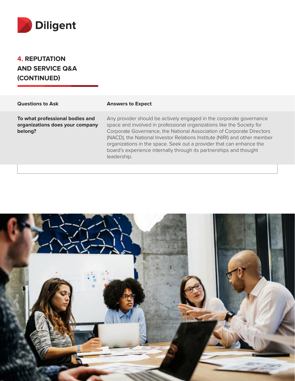

**4. REPUTATION AND SERVICE Q&A (CONTINUED)**

#### **Questions to Ask <b>Answers to Expect**

**To what professional bodies and organizations does your company belong?**

Any provider should be actively engaged in the corporate governance space and involved in professional organizations like the Society for Corporate Governance, the National Association of Corporate Directors (NACD), the National Investor Relations Institute (NIRI) and other member organizations in the space. Seek out a provider that can enhance the board's experience internally through its partnerships and thought leadership.

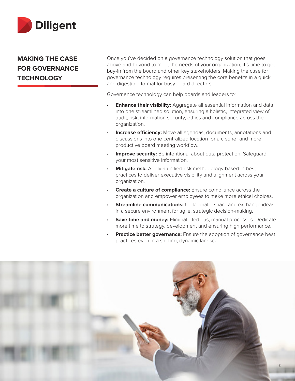

#### **MAKING THE CASE FOR GOVERNANCE TECHNOLOGY**

Once you've decided on a governance technology solution that goes above and beyond to meet the needs of your organization, it's time to get buy-in from the board and other key stakeholders. Making the case for governance technology requires presenting the core benefits in a quick and digestible format for busy board directors.

Governance technology can help boards and leaders to:

- **Enhance their visibility:** Aggregate all essential information and data into one streamlined solution, ensuring a holistic, integrated view of audit, risk, information security, ethics and compliance across the organization.
- **Increase efficiency:** Move all agendas, documents, annotations and discussions into one centralized location for a cleaner and more productive board meeting workflow.
- **Improve security:** Be intentional about data protection. Safequard your most sensitive information.
- **Mitigate risk:** Apply a unified risk methodology based in best practices to deliver executive visibility and alignment across your organization.
- **Create a culture of compliance:** Ensure compliance across the organization and empower employees to make more ethical choices.
- **Streamline communications:** Collaborate, share and exchange ideas in a secure environment for agile, strategic decision-making.
- **Save time and money:** Eliminate tedious, manual processes. Dedicate more time to strategy, development and ensuring high performance.
- **Practice better governance:** Ensure the adoption of governance best practices even in a shifting, dynamic landscape.

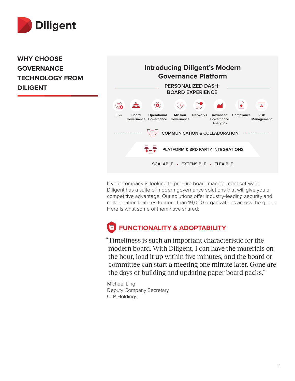

**WHY CHOOSE GOVERNANCE TECHNOLOGY FROM DILIGENT**

#### **Introducing Diligent's Modern Governance Platform PERSONALIZED DASH-BOARD EXPERIENCE**  $\sum_{n=1}^{\infty}$  $\langle \mathbf{o} \rangle$  $\bigcirc \hspace{-1.2ex} \bigcirc$  $\bullet$  $\overline{\phantom{a}}$ **Board Operational Risk Mission Networks Advanced ESG Compliance Governance Management Governance Governance Governance Analytics** <del>ローロ</del><br>ヽヮ╱ **COMMUNICATION & COLLABORATION**

If your company is looking to procure board management software, Diligent has a suite of modern governance solutions that will give you a competitive advantage. Our solutions offer industry-leading security and collaboration features to more than 19,000 organizations across the globe. Here is what some of them have shared:

**SCALABLE • EXTENSIBLE • FLEXIBLE**

**PLATFORM & 3RD PARTY INTEGRATIONS**

# **FUNCTIONALITY & ADOPTABILITY**

旦 旦  $\bullet$   $\neg$   $\bullet$ 

"Timeliness is such an important characteristic for the modern board. With Diligent, I can have the materials on the hour, load it up within five minutes, and the board or committee can start a meeting one minute later. Gone are the days of building and updating paper board packs."

Michael Ling Deputy Company Secretary CLP Holdings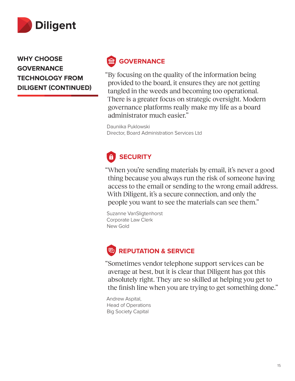

**WHY CHOOSE GOVERNANCE TECHNOLOGY FROM DILIGENT (CONTINUED)**

# **GOVERNANCE**

"By focusing on the quality of the information being provided to the board, it ensures they are not getting tangled in the weeds and becoming too operational. There is a greater focus on strategic oversight. Modern governance platforms really make my life as a board administrator much easier."

Dauniika Puklowski Director, Board Administration Services Ltd

# **SECURITY**

"When you're sending materials by email, it's never a good thing because you always run the risk of someone having access to the email or sending to the wrong email address. With Diligent, it's a secure connection, and only the people you want to see the materials can see them."

Suzanne VanSligtenhorst Corporate Law Clerk New Gold

# **REPUTATION & SERVICE**

"Sometimes vendor telephone support services can be average at best, but it is clear that Diligent has got this absolutely right. They are so skilled at helping you get to the finish line when you are trying to get something done."

Andrew Aspital, Head of Operations Big Society Capital